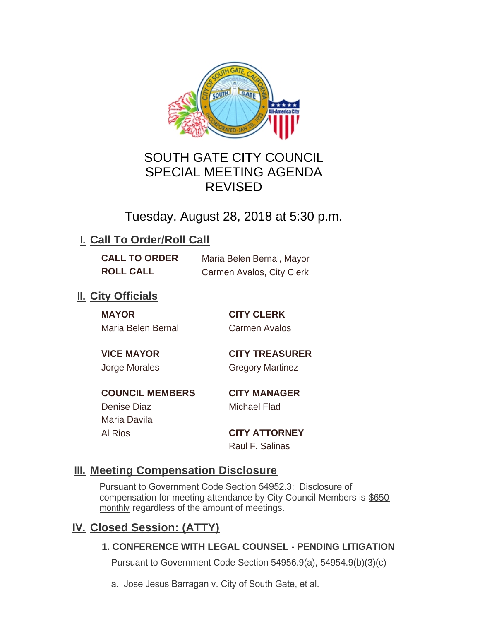

# SOUTH GATE CITY COUNCIL SPECIAL MEETING AGENDA REVISED

# Tuesday, August 28, 2018 at 5:30 p.m.

## **I. Call To Order/Roll Call**

| <b>CALL TO ORDER</b> | Maria Belen Bernal, Mayor |
|----------------------|---------------------------|
| <b>ROLL CALL</b>     | Carmen Avalos, City Clerk |

### **II.** City Officials

**MAYOR CITY CLERK** Maria Belen Bernal Carmen Avalos

# **VICE MAYOR CITY TREASURER**

Jorge Morales Gregory Martinez

**COUNCIL MEMBERS CITY MANAGER** Denise Diaz Michael Flad Maria Davila

Al Rios **CITY ATTORNEY** Raul F. Salinas

## **Meeting Compensation Disclosure III.**

Pursuant to Government Code Section 54952.3: Disclosure of compensation for meeting attendance by City Council Members is \$650 monthly regardless of the amount of meetings.

## **Closed Session: (ATTY) IV.**

### **1. CONFERENCE WITH LEGAL COUNSEL - PENDING LITIGATION**

Pursuant to Government Code Section 54956.9(a), 54954.9(b)(3)(c)

a. Jose Jesus Barragan v. City of South Gate, et al.